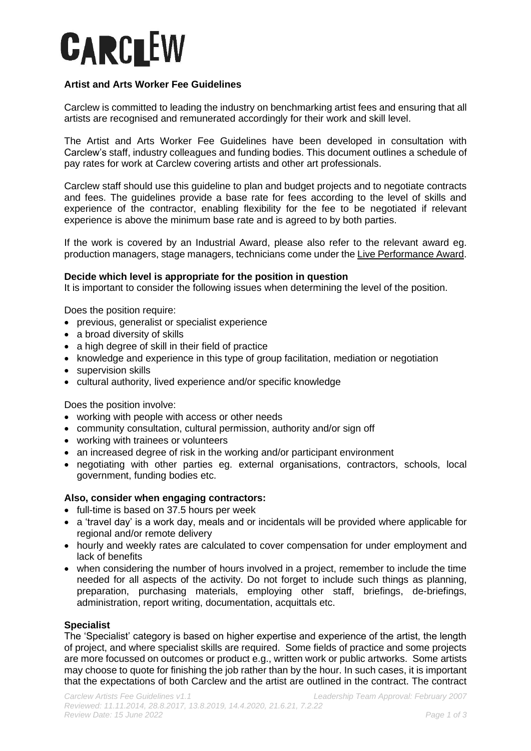# **CARCLEW**

# **Artist and Arts Worker Fee Guidelines**

Carclew is committed to leading the industry on benchmarking artist fees and ensuring that all artists are recognised and remunerated accordingly for their work and skill level.

The Artist and Arts Worker Fee Guidelines have been developed in consultation with Carclew's staff, industry colleagues and funding bodies. This document outlines a schedule of pay rates for work at Carclew covering artists and other art professionals.

Carclew staff should use this guideline to plan and budget projects and to negotiate contracts and fees. The guidelines provide a base rate for fees according to the level of skills and experience of the contractor, enabling flexibility for the fee to be negotiated if relevant experience is above the minimum base rate and is agreed to by both parties.

If the work is covered by an Industrial Award, please also refer to the relevant award eg. production managers, stage managers, technicians come under th[e Live Performance Award.](https://www.fairwork.gov.au/employment-conditions/awards/awards-summary/ma000081-summary)

# **Decide which level is appropriate for the position in question**

It is important to consider the following issues when determining the level of the position.

Does the position require:

- previous, generalist or specialist experience
- a broad diversity of skills
- a high degree of skill in their field of practice
- knowledge and experience in this type of group facilitation, mediation or negotiation
- supervision skills
- cultural authority, lived experience and/or specific knowledge

Does the position involve:

- working with people with access or other needs
- community consultation, cultural permission, authority and/or sign off
- working with trainees or volunteers
- an increased degree of risk in the working and/or participant environment
- negotiating with other parties eg. external organisations, contractors, schools, local government, funding bodies etc.

## **Also, consider when engaging contractors:**

- full-time is based on 37.5 hours per week
- a 'travel day' is a work day, meals and or incidentals will be provided where applicable for regional and/or remote delivery
- hourly and weekly rates are calculated to cover compensation for under employment and lack of benefits
- when considering the number of hours involved in a project, remember to include the time needed for all aspects of the activity. Do not forget to include such things as planning, preparation, purchasing materials, employing other staff, briefings, de-briefings, administration, report writing, documentation, acquittals etc.

# **Specialist**

The 'Specialist' category is based on higher expertise and experience of the artist, the length of project, and where specialist skills are required. Some fields of practice and some projects are more focussed on outcomes or product e.g., written work or public artworks. Some artists may choose to quote for finishing the job rather than by the hour. In such cases, it is important that the expectations of both Carclew and the artist are outlined in the contract. The contract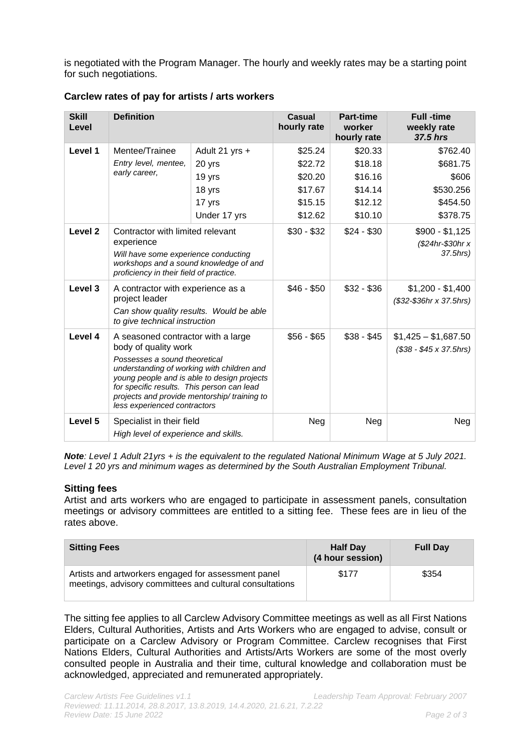is negotiated with the Program Manager. The hourly and weekly rates may be a starting point for such negotiations.

| <b>Skill</b><br>Level | <b>Definition</b>                                                                                                                                                                                                                                                                                                     |                | <b>Casual</b><br>hourly rate | <b>Part-time</b><br>worker | <b>Full</b> -time<br>weekly rate                      |
|-----------------------|-----------------------------------------------------------------------------------------------------------------------------------------------------------------------------------------------------------------------------------------------------------------------------------------------------------------------|----------------|------------------------------|----------------------------|-------------------------------------------------------|
|                       |                                                                                                                                                                                                                                                                                                                       |                |                              | hourly rate                | 37.5 hrs                                              |
| Level 1               | Mentee/Trainee                                                                                                                                                                                                                                                                                                        | Adult 21 yrs + | \$25.24                      | \$20.33                    | \$762.40                                              |
|                       | Entry level, mentee,<br>early career,                                                                                                                                                                                                                                                                                 | 20 yrs         | \$22.72                      | \$18.18                    | \$681.75                                              |
|                       |                                                                                                                                                                                                                                                                                                                       | 19 yrs         | \$20.20                      | \$16.16                    | \$606                                                 |
|                       |                                                                                                                                                                                                                                                                                                                       | 18 yrs         | \$17.67                      | \$14.14                    | \$530.256                                             |
|                       |                                                                                                                                                                                                                                                                                                                       | 17 yrs         | \$15.15                      | \$12.12                    | \$454.50                                              |
|                       |                                                                                                                                                                                                                                                                                                                       | Under 17 yrs   | \$12.62                      | \$10.10                    | \$378.75                                              |
| Level <sub>2</sub>    | Contractor with limited relevant<br>experience<br>Will have some experience conducting<br>workshops and a sound knowledge of and<br>proficiency in their field of practice.                                                                                                                                           |                | $$30 - $32$                  | $$24 - $30$                | $$900 - $1,125$<br>(\$24hr-\$30hr x<br>37.5hrs)       |
| Level 3               | A contractor with experience as a<br>project leader<br>Can show quality results. Would be able<br>to give technical instruction                                                                                                                                                                                       |                | $$46 - $50$                  | $$32 - $36$                | $$1,200 - $1,400$<br>$($32-$36hr \times $37.5hrs)$    |
| Level 4               | A seasoned contractor with a large<br>body of quality work<br>Possesses a sound theoretical<br>understanding of working with children and<br>young people and is able to design projects<br>for specific results. This person can lead<br>projects and provide mentorship/training to<br>less experienced contractors |                | $$56 - $65$                  | $$38 - $45$                | $$1,425 - $1,687.50$<br>$($38 - $45 \times 37.5$ hrs) |
| Level 5               | Specialist in their field<br>High level of experience and skills.                                                                                                                                                                                                                                                     |                | Neg                          | Neg                        | Neg                                                   |

**Carclew rates of pay for artists / arts workers**

*Note: Level 1 Adult 21yrs + is the equivalent to the regulated National Minimum Wage at 5 July 2021. Level 1 20 yrs and minimum wages as determined by the South Australian Employment Tribunal.*

## **Sitting fees**

Artist and arts workers who are engaged to participate in assessment panels, consultation meetings or advisory committees are entitled to a sitting fee. These fees are in lieu of the rates above.

| <b>Sitting Fees</b>                                                                                             | <b>Half Day</b><br>(4 hour session) | <b>Full Day</b> |
|-----------------------------------------------------------------------------------------------------------------|-------------------------------------|-----------------|
| Artists and artworkers engaged for assessment panel<br>meetings, advisory committees and cultural consultations | \$177                               | \$354           |

The sitting fee applies to all Carclew Advisory Committee meetings as well as all First Nations Elders, Cultural Authorities, Artists and Arts Workers who are engaged to advise, consult or participate on a Carclew Advisory or Program Committee. Carclew recognises that First Nations Elders, Cultural Authorities and Artists/Arts Workers are some of the most overly consulted people in Australia and their time, cultural knowledge and collaboration must be acknowledged, appreciated and remunerated appropriately.